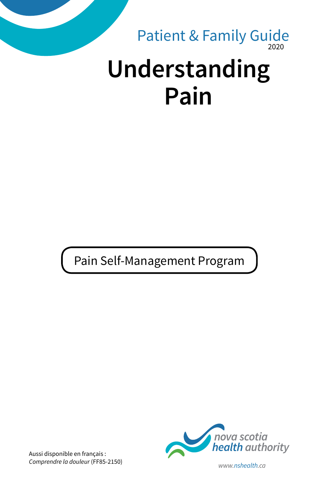# 2020 **Understanding Pain** Patient & Family Guide

Pain Self-Management Program



Aussi disponible en français : *Comprendre la douleur* (FF85-2150) *www.nshealth.ca*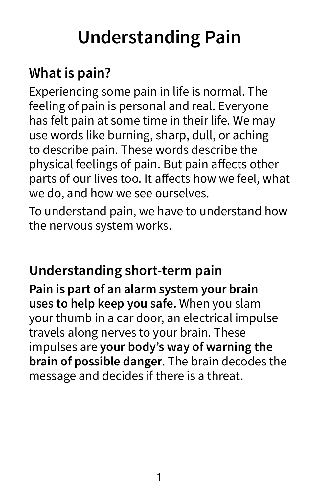# **Understanding Pain**

## **What is pain?**

Experiencing some pain in life is normal. The feeling of pain is personal and real. Everyone has felt pain at some time in their life. We may use words like burning, sharp, dull, or aching to describe pain. These words describe the physical feelings of pain. But pain affects other parts of our lives too. It affects how we feel, what we do, and how we see ourselves.

To understand pain, we have to understand how the nervous system works.

### **Understanding short-term pain**

**Pain is part of an alarm system your brain uses to help keep you safe.** When you slam your thumb in a car door, an electrical impulse travels along nerves to your brain. These impulses are **your body's way of warning the brain of possible danger**. The brain decodes the message and decides if there is a threat.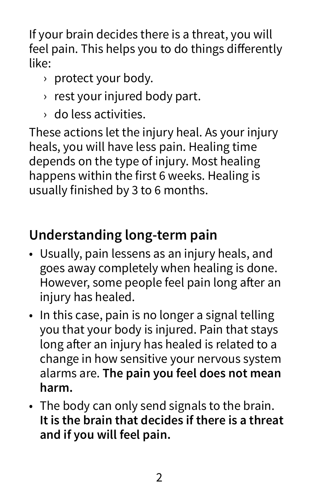If your brain decides there is a threat, you will feel pain. This helps you to do things differently like:

- › protect your body.
- › rest your injured body part.
- › do less activities.

These actions let the injury heal. As your injury heals, you will have less pain. Healing time depends on the type of injury. Most healing happens within the first 6 weeks. Healing is usually finished by 3 to 6 months.

# **Understanding long-term pain**

- Usually, pain lessens as an injury heals, and goes away completely when healing is done. However, some people feel pain long after an injury has healed.
- In this case, pain is no longer a signal telling you that your body is injured. Pain that stays long after an injury has healed is related to a change in how sensitive your nervous system alarms are. **The pain you feel does not mean harm.**
- The body can only send signals to the brain. **It is the brain that decides if there is a threat and if you will feel pain.**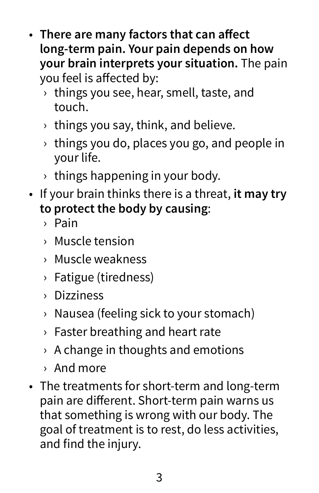- **There are many factors that can affect long-term pain. Your pain depends on how your brain interprets your situation.** The pain you feel is affected by:
	- $\rightarrow$  things you see, hear, smell, taste, and touch.
	- $\rightarrow$  things you say, think, and believe.
	- $\rightarrow$  things you do, places you go, and people in your life.
	- › things happening in your body.
- If your brain thinks there is a threat, **it may try to protect the body by causing**:
	- › Pain
	- › Muscle tension
	- › Muscle weakness
	- › Fatigue (tiredness)
	- › Dizziness
	- › Nausea (feeling sick to your stomach)
	- › Faster breathing and heart rate
	- $\rightarrow$  A change in thoughts and emotions
	- › And more
- The treatments for short-term and long-term pain are different. Short-term pain warns us that something is wrong with our body. The goal of treatment is to rest, do less activities, and find the injury.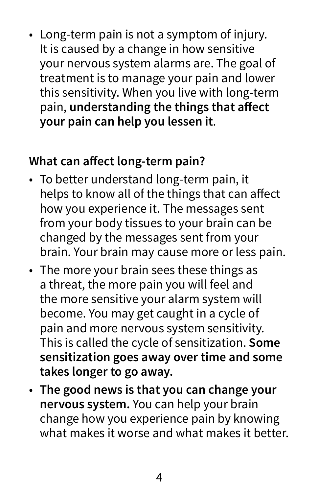• Long-term pain is not a symptom of injury. It is caused by a change in how sensitive your nervous system alarms are. The goal of treatment is to manage your pain and lower this sensitivity. When you live with long-term pain, **understanding the things that affect your pain can help you lessen it**.

#### **What can affect long-term pain?**

- To better understand long-term pain, it helps to know all of the things that can affect how you experience it. The messages sent from your body tissues to your brain can be changed by the messages sent from your brain. Your brain may cause more or less pain.
- The more your brain sees these things as a threat, the more pain you will feel and the more sensitive your alarm system will become. You may get caught in a cycle of pain and more nervous system sensitivity. This is called the cycle of sensitization. **Some sensitization goes away over time and some takes longer to go away.**
- **The good news is that you can change your nervous system.** You can help your brain change how you experience pain by knowing what makes it worse and what makes it better.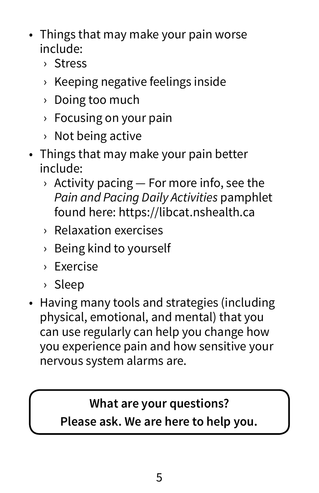- Things that may make your pain worse include:
	- › Stress
	- › Keeping negative feelings inside
	- › Doing too much
	- › Focusing on your pain
	- › Not being active
- Things that may make your pain better include:
	- $\rightarrow$  Activity pacing  $-$  For more info, see the *Pain and Pacing Daily Activities* pamphlet found here: https://libcat.nshealth.ca
	- › Relaxation exercises
	- › Being kind to yourself
	- › Exercise
	- › Sleep
- Having many tools and strategies (including physical, emotional, and mental) that you can use regularly can help you change how you experience pain and how sensitive your nervous system alarms are.

#### **What are your questions?**

**Please ask. We are here to help you.**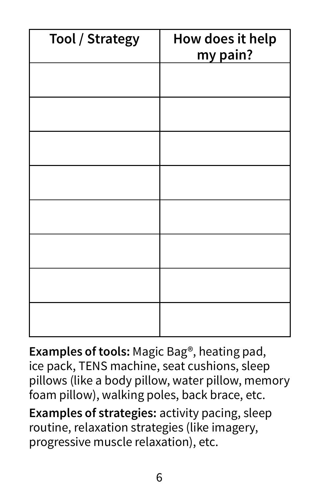| <b>Tool / Strategy</b> | How does it help<br>my pain? |
|------------------------|------------------------------|
|                        |                              |
|                        |                              |
|                        |                              |
|                        |                              |
|                        |                              |
|                        |                              |
|                        |                              |
|                        |                              |

**Examples of tools:** Magic Bag®, heating pad, ice pack, TENS machine, seat cushions, sleep pillows (like a body pillow, water pillow, memory foam pillow), walking poles, back brace, etc.

**Examples of strategies:** activity pacing, sleep routine, relaxation strategies (like imagery, progressive muscle relaxation), etc.